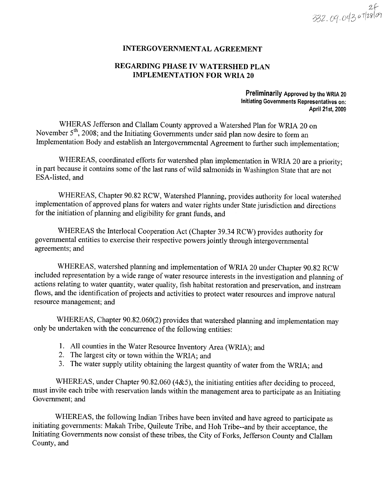### **INTERGOVERNMENTAL AGREEMENT**

### REGARDING PHASE IV WATERSHED PLAN **IMPLEMENTATION FOR WRIA 20**

Preliminarily Approved by the WRIA 20 Initiating Governments Representatives on: April 21st, 2009

WHERAS Jefferson and Clallam County approved a Watershed Plan for WRIA 20 on November  $5<sup>th</sup>$ , 2008; and the Initiating Governments under said plan now desire to form an Implementation Body and establish an Intergovernmental Agreement to further such implementation;

WHEREAS, coordinated efforts for watershed plan implementation in WRIA 20 are a priority; in part because it contains some of the last runs of wild salmonids in Washington State that are not ESA-listed, and

WHEREAS, Chapter 90.82 RCW, Watershed Planning, provides authority for local watershed implementation of approved plans for waters and water rights under State jurisdiction and directions for the initiation of planning and eligibility for grant funds, and

WHEREAS the Interlocal Cooperation Act (Chapter 39.34 RCW) provides authority for governmental entities to exercise their respective powers jointly through intergovernmental agreements; and

WHEREAS, watershed planning and implementation of WRIA 20 under Chapter 90.82 RCW included representation by a wide range of water resource interests in the investigation and planning of actions relating to water quantity, water quality, fish habitat restoration and preservation, and instream flows, and the identification of projects and activities to protect water resources and improve natural resource management; and

WHEREAS, Chapter 90.82.060(2) provides that watershed planning and implementation may only be undertaken with the concurrence of the following entities:

- 1. All counties in the Water Resource Inventory Area (WRIA); and
- 2. The largest city or town within the WRIA; and
- 3. The water supply utility obtaining the largest quantity of water from the WRIA; and

WHEREAS, under Chapter 90.82.060 (4&5), the initiating entities after deciding to proceed, must invite each tribe with reservation lands within the management area to participate as an Initiating Government; and

WHEREAS, the following Indian Tribes have been invited and have agreed to participate as initiating governments: Makah Tribe, Quileute Tribe, and Hoh Tribe--and by their acceptance, the Initiating Governments now consist of these tribes, the City of Forks, Jefferson County and Clallam County, and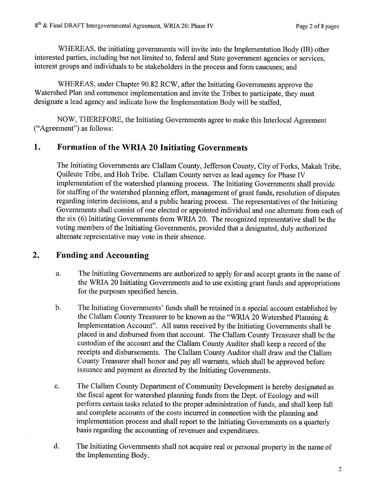WHEREAS, the initiating governments will invite into the Implementation Body (IB) other interested parties, including but not limited to, federal and State government agencies or services, interest groups and individuals to be stakeholders in the process and form caucuses; and

WHEREAS, under Chapter 90.82 RCW, after the Initiating Governments approve the Watershed Plan and commence implementation and invite the Tribes to participate, they must designate a lead agency and indicate how the Implementation Body will be staffed,

NOW, THEREFORE, the Initiating Governments agree to make this Interlocal Agreement ("Agreement") as follows:

#### 1. Formation of the WRIA 20 Initiating Governments

The Initiating Govemments are Clallam County, Jefferson County, City of Forks, Makah Tribe, Quileute Tribe, and Hoh Tribe. Clallam County serves as lead agency for Phase IV implementation of the watershed planning process. The Initiating Governments shall provide for staffing of the watershed planning effort, management of grant funds, resolution of disputes regarding interim decisions, and a public hearing process. The representatives of the Initiating Governments shall consist of one elected or appointed individual and one altemate from each of the six (6) Initiating Governments from WRIA 20. The recognized representative shall be the voting members of the Initiating Governments, provided that a designated, duly authorized alternate representative may vote in their absence.

#### Funding and Accounting 2.

- a. The Initiating Governments are authorized to apply for and accept grants in the name of the WRIA 20 Initiating Governments and to use existing grant funds and appropriations for the purposes specified herein.
- b. The Initiating Governments' funds shall be retained in a special account established by the Clallam County Treasurer to be known as the "WRIA 20 Watershed Planning & Implementation Account". All sums received by the Initiating Governments shall be placed in and disbursed from that account. The Clallam County Treasurer shall be the custodian of the account and the Clallam County Auditor shall keep a record of the receipts and disbursements. The Clallam County Auditor shall draw and the Clallam County Treasurer shall honor and pay all warrants, which shall be approved before issuance and payment as directed by the Initiating Governments.
- c. The Clallam County Department of Community Development is hereby designated as the fiscal agent for watershed planning funds from the Dept. of Ecology and will perform certain tasks related to the proper administration of funds, and shall keep full and complete accounts of the costs incurred in connection with the planning and implementation process and shall report to the Initiating Governments on a quarterly basis regarding the accounting of revenues and expenditures.
- d. The Initiating Govemments shall not acquire real or personal property in the name of the Implementing Body.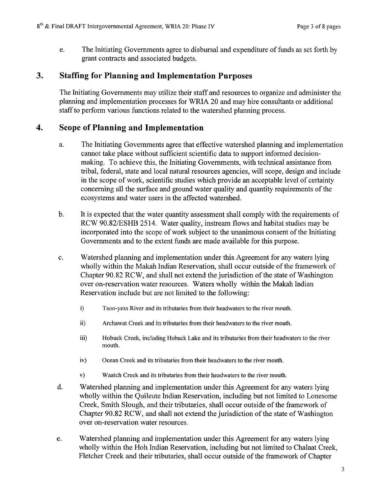e. The Initiating Governments agree to disbursal and expenditure of funds as set forth by grant contracts and associated budgets.

#### 3. Staffing for Planning and Implementation Purposes

The Initiating Govemments may utilize their staff and resources to organize and administer the planning and implementation processes for WRIA 20 and may hire consultants or additional staff to perform various functions related to the watershed planning process.

#### Scope of Planning and Implementation 4.

- a. The Initiating Governments agree that effective watershed planning and implementation cannot take place without sufficient scientific data to support informed decisionmaking. To achieve this, the Initiating Governments, with technical assistance from tribal, federal, state and local natural resources agencies, will scope, design and include in the scope of work, scientific studies which provide an acceptable level of certainty concerning all the surface and ground water quality and quantity requirements of the ecosystems and water users in the affected watershed.
- b. It is expected that the water quantity assessment shall comply with the requirements of RCW 90.82/ESHB 2514. Water quality, instream flows and habitat studies may be incorporated into the scope of work subject to the unanimous consent of the Initiating Governments and to the extent funds are made available for this purpose.
- c. Watershed planning and implementation under this Agreement for any waters lying wholly within the Makah Indian Reservation, shall occur outside of the framework of Chapter 90.82 RC\M, and shall not extend the jurisdiction of the state of Washington over on-reservation water resources. Waters wholly within the Makah Indian Reservation include but are not limited to the followine:
	- i) Tsoo-yess River and its tributaries from their headwaters to the river mouth.
	- ii) Archawat Creek and its tributaries from their headwaters to the river mouth.
	- iii) Hobuck Creek, including Hobuck Lake and its tributaries from their headwaters to the river mouth.
	- iv) Ocean Creek and its tributaries from their headwaters to the river mouth.
	- v) Waatch Creek and its tributaries from their headwaters to the river mouth.
- d. V/atershed planning and implementation under this Agreement for any waters lying wholly within the Quileute Indian Reservation, including but not limited to Lonesome Creek, Smith Slough, and their tributaries, shall occur outside of the framework of Chapter 90.82 RCW, and shall not extend the jurisdiction of the state of Washington over on-reservation water resources.
- e. Watershed planning and implementation under this Agreement for any waters lying wholly within the Hoh Indian Reservation, including but not limited to Chalaat Creek, Fletcher Creek and their tributaries, shall occur outside of the framework of Chapter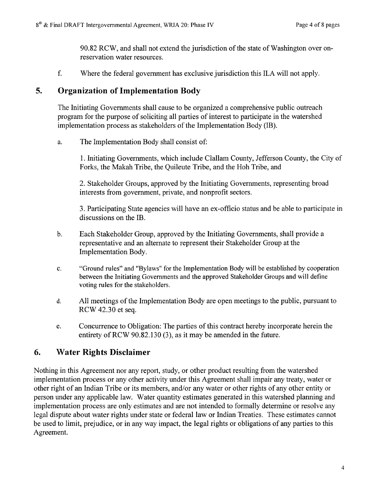90.82 RCW, and shall not extend the jurisdiction of the state of Washington over onreservation water resources.

f. 'Where the federal government has exclusive jurisdiction this ILA will not apply.

## 5. Organization of Implementation Body

The Initiating Governments shall cause to be organized a comprehensive public outreach program for the purpose of soliciting all parties of interest to participate in the watershed implementation process as stakeholders of the Implementation Body (IB).

a. The Implementation Body shall consist of:

l. Initiating Governments, which include Clallam County, Jefferson County, the City of Forks, the Makah Tribe, the Quileute Tribe, and the Hoh Tribe, and

2. Stakeholder Groups, approved by the Initiating Governments, representing broad interests from government, private, and nonprofit sectors.

3. Participating State agencies will have an ex-offrcio status and be able to participate in discussions on the IB.

- b. Each Stakeholder Group, approved by the Initiating Governments, shall provide <sup>a</sup> representative and an alternate to represent their Stakeholder Group at the Implementation Body.
- c. "Ground rules" and "Bylaws" for the Implementation Body will be established by cooperation between the Initiating Governments and the approved Stakeholder Groups and will define voting rules for the stakeholders.
- d. All meetings of the Implementation Body are open meetings to the public, pursuant to RCV/ 42.30 et seq.
- e. Concurrence to Obligation: The parties of this contract hereby incorporate herein the entirety of RCW 90.82.130 (3), as it may be amended in the future.

## 6. Water Rights Disclaimer

Nothing in this Agreement nor any report, study, or other product resulting from the watershed implementation process or any other activity under this Agreement shall impair any treaty, water or other right of an Indian Tribe or its members, and/or any water or other rights of any other entity or person under any applicable law. Water quantity estimates generated in this watershed planning and implementation process are only estimates and are not intended to formally determine or resolve any legal dispute about water rights under state or federal law or Indian Treaties. These estimates cannot be used to limit, prejudice, or in any way impact, the legal rights or obligations of any parties to this Agreement.